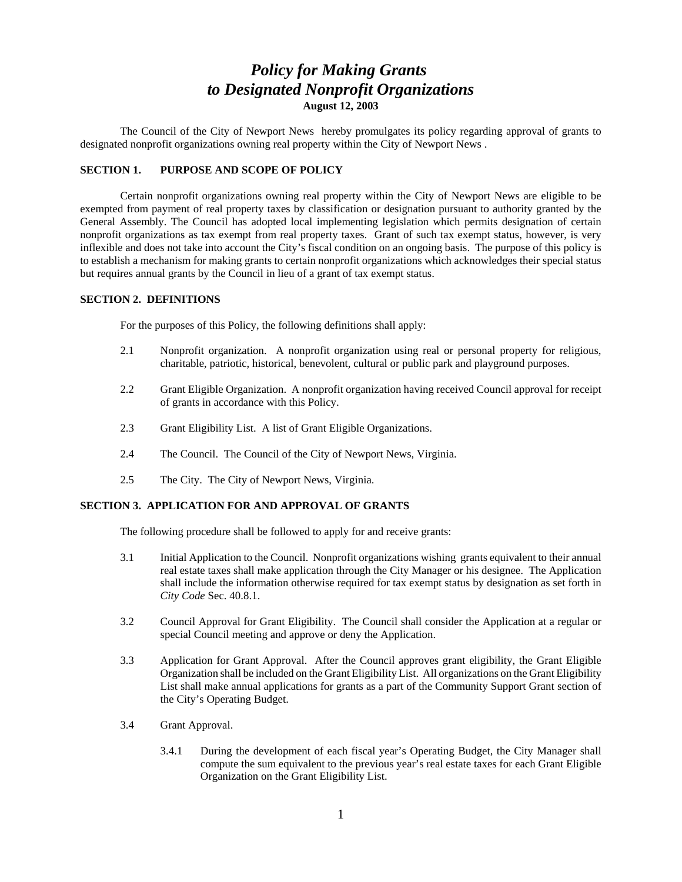# *Policy for Making Grants to Designated Nonprofit Organizations* **August 12, 2003**

The Council of the City of Newport News hereby promulgates its policy regarding approval of grants to designated nonprofit organizations owning real property within the City of Newport News .

#### **SECTION 1. PURPOSE AND SCOPE OF POLICY**

Certain nonprofit organizations owning real property within the City of Newport News are eligible to be exempted from payment of real property taxes by classification or designation pursuant to authority granted by the General Assembly. The Council has adopted local implementing legislation which permits designation of certain nonprofit organizations as tax exempt from real property taxes. Grant of such tax exempt status, however, is very inflexible and does not take into account the City's fiscal condition on an ongoing basis. The purpose of this policy is to establish a mechanism for making grants to certain nonprofit organizations which acknowledges their special status but requires annual grants by the Council in lieu of a grant of tax exempt status.

#### **SECTION 2. DEFINITIONS**

For the purposes of this Policy, the following definitions shall apply:

- 2.1 Nonprofit organization. A nonprofit organization using real or personal property for religious, charitable, patriotic, historical, benevolent, cultural or public park and playground purposes.
- 2.2 Grant Eligible Organization. A nonprofit organization having received Council approval for receipt of grants in accordance with this Policy.
- 2.3 Grant Eligibility List. A list of Grant Eligible Organizations.
- 2.4 The Council. The Council of the City of Newport News, Virginia.
- 2.5 The City. The City of Newport News, Virginia.

### **SECTION 3. APPLICATION FOR AND APPROVAL OF GRANTS**

The following procedure shall be followed to apply for and receive grants:

- 3.1 Initial Application to the Council. Nonprofit organizations wishing grants equivalent to their annual real estate taxes shall make application through the City Manager or his designee. The Application shall include the information otherwise required for tax exempt status by designation as set forth in *City Code* Sec. 40.8.1.
- 3.2 Council Approval for Grant Eligibility. The Council shall consider the Application at a regular or special Council meeting and approve or deny the Application.
- 3.3 Application for Grant Approval. After the Council approves grant eligibility, the Grant Eligible Organization shall be included on the Grant Eligibility List. All organizations on the Grant Eligibility List shall make annual applications for grants as a part of the Community Support Grant section of the City's Operating Budget.
- 3.4 Grant Approval.
	- 3.4.1 During the development of each fiscal year's Operating Budget, the City Manager shall compute the sum equivalent to the previous year's real estate taxes for each Grant Eligible Organization on the Grant Eligibility List.